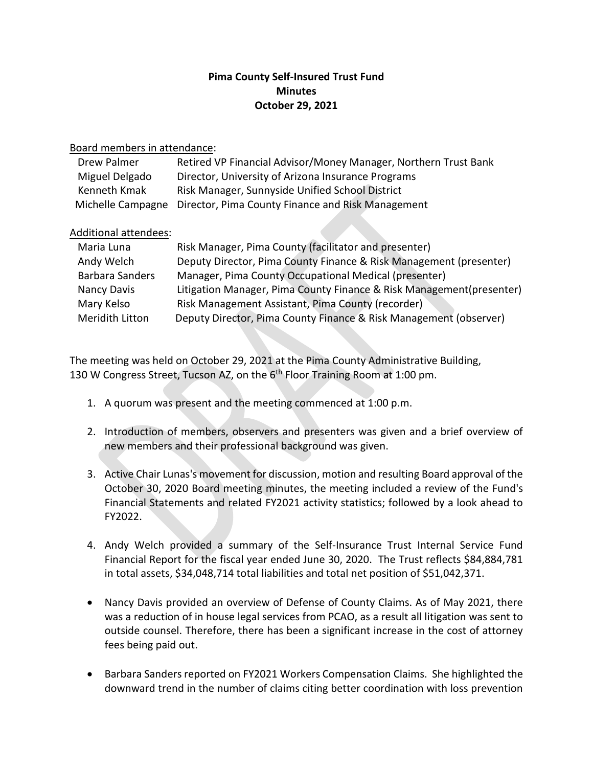## **Pima County Self-Insured Trust Fund Minutes October 29, 2021**

## Board members in attendance:

| Drew Palmer    | Retired VP Financial Advisor/Money Manager, Northern Trust Bank     |
|----------------|---------------------------------------------------------------------|
| Miguel Delgado | Director, University of Arizona Insurance Programs                  |
| Kenneth Kmak   | Risk Manager, Sunnyside Unified School District                     |
|                | Michelle Campagne Director, Pima County Finance and Risk Management |

## Additional attendees:

| Maria Luna             | Risk Manager, Pima County (facilitator and presenter)                |
|------------------------|----------------------------------------------------------------------|
| Andy Welch             | Deputy Director, Pima County Finance & Risk Management (presenter)   |
| <b>Barbara Sanders</b> | Manager, Pima County Occupational Medical (presenter)                |
| Nancy Davis            | Litigation Manager, Pima County Finance & Risk Management(presenter) |
| Mary Kelso             | Risk Management Assistant, Pima County (recorder)                    |
| Meridith Litton        | Deputy Director, Pima County Finance & Risk Management (observer)    |

The meeting was held on October 29, 2021 at the Pima County Administrative Building, 130 W Congress Street, Tucson AZ, on the 6<sup>th</sup> Floor Training Room at 1:00 pm.

- 1. A quorum was present and the meeting commenced at 1:00 p.m.
- 2. Introduction of members, observers and presenters was given and a brief overview of new members and their professional background was given.
- 3. Active Chair Lunas's movement for discussion, motion and resulting Board approval of the October 30, 2020 Board meeting minutes, the meeting included a review of the Fund's Financial Statements and related FY2021 activity statistics; followed by a look ahead to FY2022.
- 4. Andy Welch provided a summary of the Self-Insurance Trust Internal Service Fund Financial Report for the fiscal year ended June 30, 2020. The Trust reflects \$84,884,781 in total assets, \$34,048,714 total liabilities and total net position of \$51,042,371.
- Nancy Davis provided an overview of Defense of County Claims. As of May 2021, there was a reduction of in house legal services from PCAO, as a result all litigation was sent to outside counsel. Therefore, there has been a significant increase in the cost of attorney fees being paid out.
- Barbara Sanders reported on FY2021 Workers Compensation Claims. She highlighted the downward trend in the number of claims citing better coordination with loss prevention